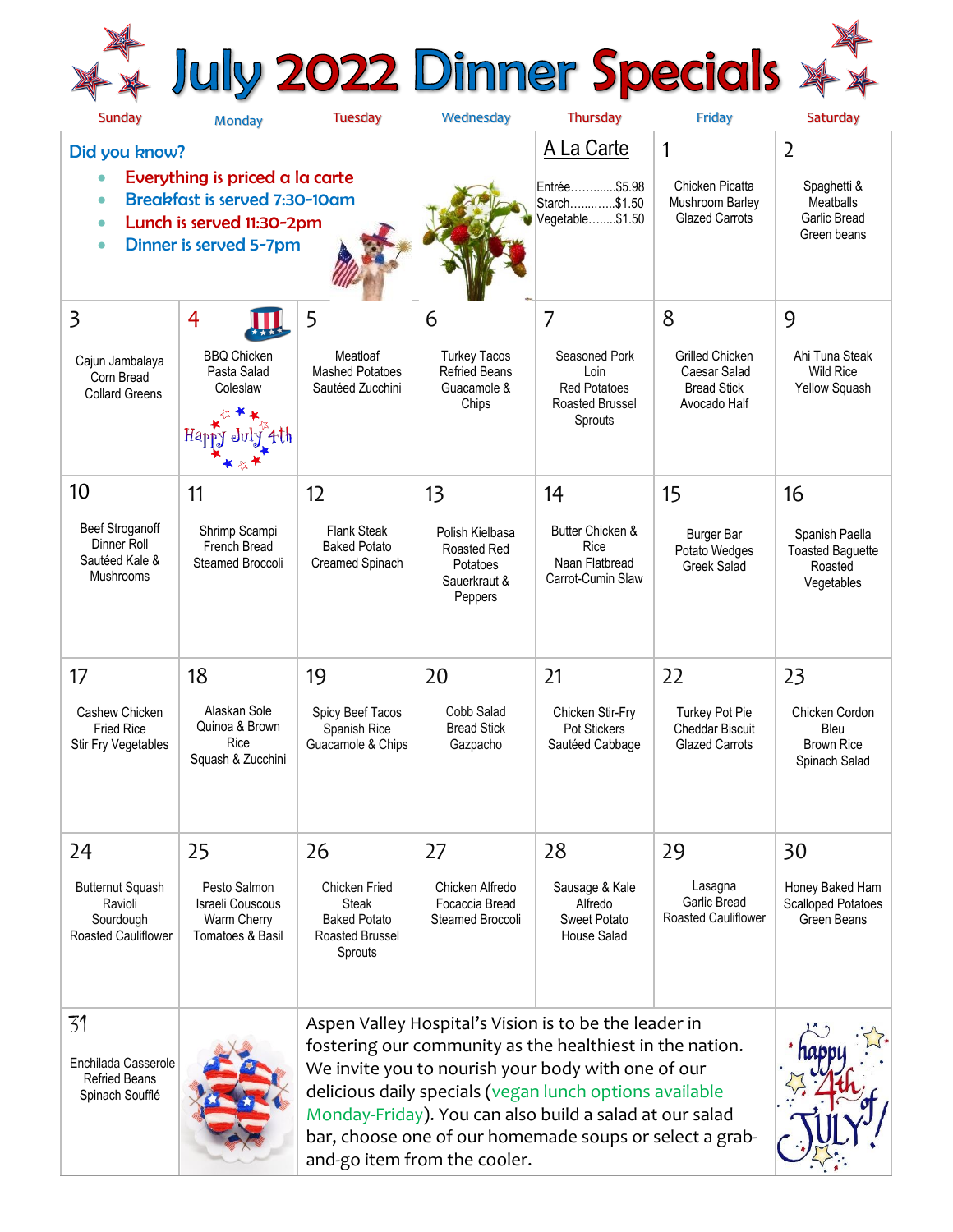# \*\* July 2022 Dinner Specials \*\*

| <b>Sunday</b>                                                                                                                                    | <b>Monday</b>                                                       | <b>Tuesday</b>                                                                                                                                                                                                                                                                                                                                                                           | Wednesday                                                                    | Thursday                                                                   | Friday                                                                       | Saturday                                                           |
|--------------------------------------------------------------------------------------------------------------------------------------------------|---------------------------------------------------------------------|------------------------------------------------------------------------------------------------------------------------------------------------------------------------------------------------------------------------------------------------------------------------------------------------------------------------------------------------------------------------------------------|------------------------------------------------------------------------------|----------------------------------------------------------------------------|------------------------------------------------------------------------------|--------------------------------------------------------------------|
| Did you know?                                                                                                                                    |                                                                     |                                                                                                                                                                                                                                                                                                                                                                                          |                                                                              | A La Carte                                                                 | $\mathbf{1}$                                                                 | $\overline{2}$                                                     |
| Everything is priced a la carte<br><b>Breakfast is served 7:30-10am</b><br>Lunch is served 11:30-2pm<br>Ō<br>Dinner is served 5-7pm<br>$\bullet$ |                                                                     |                                                                                                                                                                                                                                                                                                                                                                                          |                                                                              | Entrée\$5.98<br>Starch\$1.50<br>Vegetable\$1.50                            | <b>Chicken Picatta</b><br>Mushroom Barley<br><b>Glazed Carrots</b>           | Spaghetti &<br><b>Meatballs</b><br>Garlic Bread<br>Green beans     |
| 3                                                                                                                                                | 4                                                                   | 5                                                                                                                                                                                                                                                                                                                                                                                        | 6                                                                            | $\overline{7}$                                                             | 8                                                                            | 9                                                                  |
| Cajun Jambalaya<br>Corn Bread<br><b>Collard Greens</b>                                                                                           | <b>BBQ Chicken</b><br>Pasta Salad<br>Coleslaw<br>Happ               | Meatloaf<br><b>Mashed Potatoes</b><br>Sautéed Zucchini                                                                                                                                                                                                                                                                                                                                   | <b>Turkey Tacos</b><br><b>Refried Beans</b><br>Guacamole &<br>Chips          | Seasoned Pork<br>Loin<br><b>Red Potatoes</b><br>Roasted Brussel<br>Sprouts | <b>Grilled Chicken</b><br>Caesar Salad<br><b>Bread Stick</b><br>Avocado Half | Ahi Tuna Steak<br><b>Wild Rice</b><br>Yellow Squash                |
| 10                                                                                                                                               | 11                                                                  | 12                                                                                                                                                                                                                                                                                                                                                                                       | 13                                                                           | 14                                                                         | 15                                                                           | 16                                                                 |
| <b>Beef Stroganoff</b><br>Dinner Roll<br>Sautéed Kale &<br><b>Mushrooms</b>                                                                      | Shrimp Scampi<br>French Bread<br>Steamed Broccoli                   | <b>Flank Steak</b><br><b>Baked Potato</b><br>Creamed Spinach                                                                                                                                                                                                                                                                                                                             | Polish Kielbasa<br><b>Roasted Red</b><br>Potatoes<br>Sauerkraut &<br>Peppers | Butter Chicken &<br><b>Rice</b><br>Naan Flatbread<br>Carrot-Cumin Slaw     | <b>Burger Bar</b><br>Potato Wedges<br><b>Greek Salad</b>                     | Spanish Paella<br><b>Toasted Baguette</b><br>Roasted<br>Vegetables |
| 17                                                                                                                                               | 18                                                                  | 19                                                                                                                                                                                                                                                                                                                                                                                       | 20                                                                           | 21                                                                         | 22                                                                           | 23                                                                 |
| Cashew Chicken<br><b>Fried Rice</b><br>Stir Fry Vegetables                                                                                       | Alaskan Sole<br>Quinoa & Brown<br>Rice<br>Squash & Zucchini         | Spicy Beef Tacos<br>Spanish Rice<br>Guacamole & Chips                                                                                                                                                                                                                                                                                                                                    | Cobb Salad<br><b>Bread Stick</b><br>Gazpacho                                 | Chicken Stir-Fry<br>Pot Stickers<br>Sautéed Cabbage                        | <b>Turkey Pot Pie</b><br>Cheddar Biscuit<br><b>Glazed Carrots</b>            | Chicken Cordon<br>Bleu<br><b>Brown Rice</b><br>Spinach Salad       |
| 24                                                                                                                                               | 25                                                                  | 26                                                                                                                                                                                                                                                                                                                                                                                       | 27                                                                           | 28                                                                         | 29                                                                           | 30                                                                 |
| <b>Butternut Squash</b><br>Ravioli<br>Sourdough<br><b>Roasted Cauliflower</b>                                                                    | Pesto Salmon<br>Israeli Couscous<br>Warm Cherry<br>Tomatoes & Basil | <b>Chicken Fried</b><br>Steak<br><b>Baked Potato</b><br>Roasted Brussel<br>Sprouts                                                                                                                                                                                                                                                                                                       | Chicken Alfredo<br>Focaccia Bread<br>Steamed Broccoli                        | Sausage & Kale<br>Alfredo<br>Sweet Potato<br>House Salad                   | Lasagna<br><b>Garlic Bread</b><br><b>Roasted Cauliflower</b>                 | Honey Baked Ham<br><b>Scalloped Potatoes</b><br>Green Beans        |
| 31<br>Enchilada Casserole<br><b>Refried Beans</b><br>Spinach Soufflé                                                                             |                                                                     | Aspen Valley Hospital's Vision is to be the leader in<br>fostering our community as the healthiest in the nation.<br>We invite you to nourish your body with one of our<br>delicious daily specials (vegan lunch options available<br>Monday-Friday). You can also build a salad at our salad<br>bar, choose one of our homemade soups or select a grab-<br>and-go item from the cooler. |                                                                              |                                                                            |                                                                              |                                                                    |